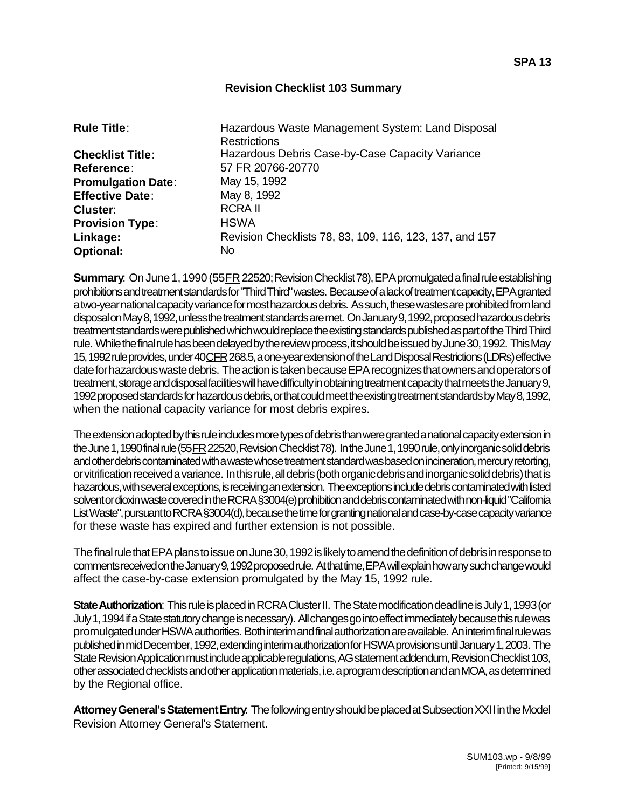## **Revision Checklist 103 Summary**

| <b>Rule Title:</b>        | Hazardous Waste Management System: Land Disposal<br><b>Restrictions</b> |
|---------------------------|-------------------------------------------------------------------------|
| <b>Checklist Title:</b>   | Hazardous Debris Case-by-Case Capacity Variance                         |
| <b>Reference:</b>         | 57 FR 20766-20770                                                       |
| <b>Promulgation Date:</b> | May 15, 1992                                                            |
| <b>Effective Date:</b>    | May 8, 1992                                                             |
| <b>Cluster:</b>           | <b>RCRAIL</b>                                                           |
| <b>Provision Type:</b>    | <b>HSWA</b>                                                             |
| Linkage:                  | Revision Checklists 78, 83, 109, 116, 123, 137, and 157                 |
| <b>Optional:</b>          | No.                                                                     |

**Summary**: On June 1, 1990 (55 FR 22520; Revision Checklist 78), EPA promulgated a final rule establishing prohibitions and treatment standards for "Third Third" wastes. Because of a lack of treatment capacity, EPA granted a two-year national capacity variance for most hazardous debris. As such, these wastes are prohibited from land disposal on May 8, 1992, unless the treatment standards are met. On January 9, 1992, proposed hazardous debris treatment standards were published which would replace the existing standards published as part of the Third Third rule. While the final rule has been delayed by the review process, it should be issued by June 30, 1992. This May 15, 1992 rule provides, under 40 CFR 268.5, a one-year extension of the Land Disposal Restrictions (LDRs) effective date for hazardous waste debris. The action is taken because EPA recognizes that owners and operators of treatment, storage and disposal facilities will have difficulty in obtaining treatment capacity that meets the January 9, 1992 proposed standards for hazardous debris, or that could meet the existing treatment standards by May 8, 1992, when the national capacity variance for most debris expires.

The extension adopted by this rule includes more types of debris than were granted a national capacity extension in the June 1, 1990 final rule (55 FR 22520, Revision Checklist 78). In the June 1, 1990 rule, only inorganic solid debris and other debris contaminated with a waste whose treatment standard was based on incineration, mercury retorting, or vitrification received a variance. In this rule, all debris (both organic debris and inorganic solid debris) that is hazardous, with several exceptions, is receiving an extension. The exceptions include debris contaminated with listed solvent or dioxin waste covered in the RCRA §3004(e) prohibition and debris contaminated with non-liquid "California List Waste", pursuant to RCRA §3004(d), because the time for granting national and case-by-case capacity variance for these waste has expired and further extension is not possible.

The final rule that EPA plans to issue on June 30, 1992 is likely to amend the definition of debris in response to comments received on the January 9, 1992 proposed rule. At that time, EPA will explain how any such change would affect the case-by-case extension promulgated by the May 15, 1992 rule.

**State Authorization**: This rule is placed in RCRA Cluster II. The State modification deadline is July 1, 1993 (or July 1, 1994 if a State statutory change is necessary). All changes go into effect immediately because this rule was promulgated under HSWA authorities. Both interim and final authorization are available. An interim final rule was published in mid December, 1992, extending interim authorization for HSWA provisions until January 1, 2003. The State Revision Application must include applicable regulations, AG statement addendum, Revision Checklist 103, other associated checklists and other application materials, i.e. a program description and an MOA, as determined by the Regional office.

**Attorney General's Statement Entry**: The following entry should be placed at Subsection XXI I in the Model Revision Attorney General's Statement.